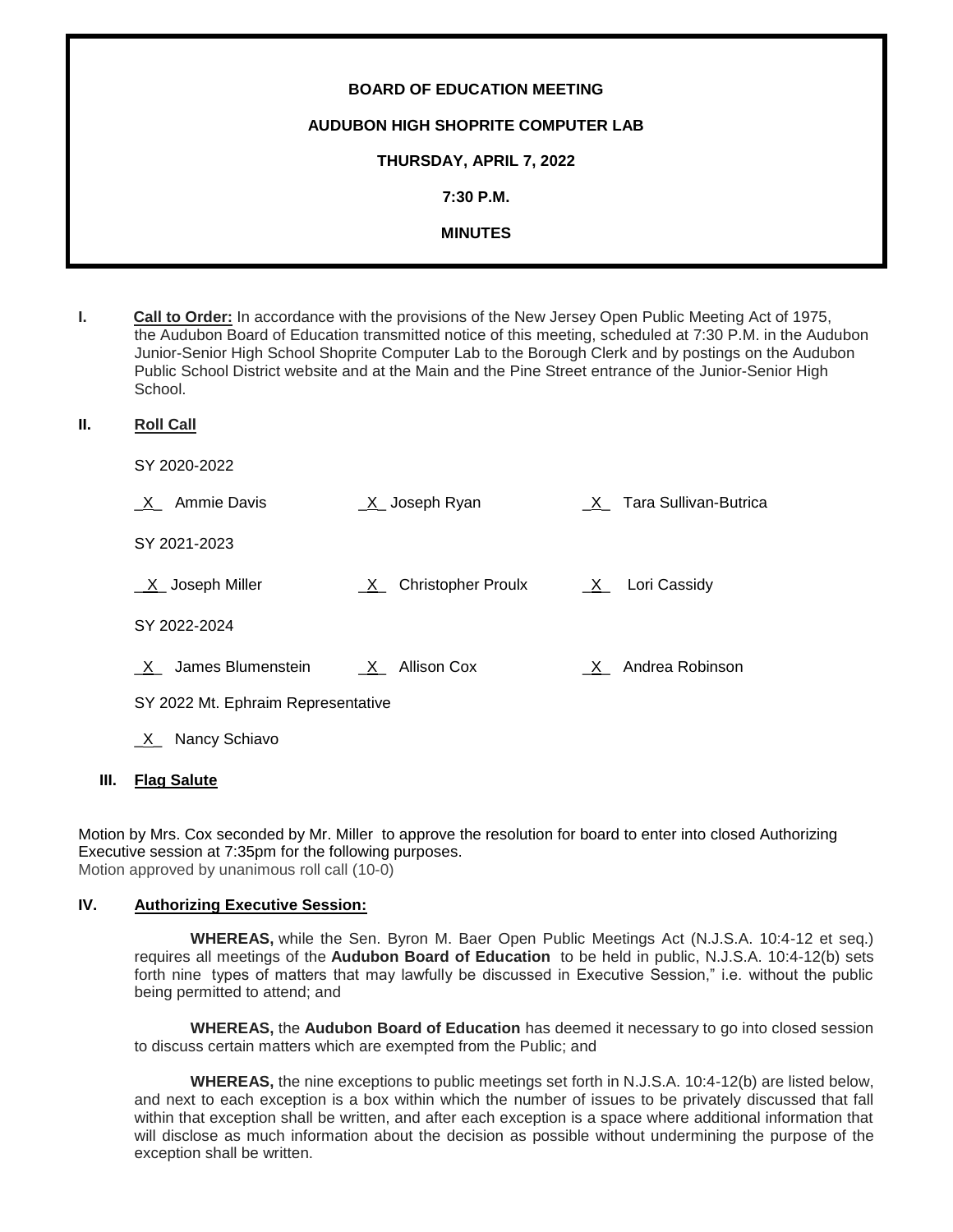| <b>BOARD OF EDUCATION MEETING</b>         |
|-------------------------------------------|
| <b>AUDUBON HIGH SHOPRITE COMPUTER LAB</b> |
| THURSDAY, APRIL 7, 2022                   |
| 7:30 P.M.                                 |
| <b>MINUTES</b>                            |
|                                           |

**I. Call to Order:** In accordance with the provisions of the New Jersey Open Public Meeting Act of 1975, the Audubon Board of Education transmitted notice of this meeting, scheduled at 7:30 P.M. in the Audubon Junior-Senior High School Shoprite Computer Lab to the Borough Clerk and by postings on the Audubon Public School District website and at the Main and the Pine Street entrance of the Junior-Senior High School.

**II. Roll Call**

SY 2020-2022

| Ammie Davis<br>X                   | $X$ Joseph Ryan             | X Tara Sullivan-Butrica |
|------------------------------------|-----------------------------|-------------------------|
| SY 2021-2023                       |                             |                         |
| $X$ Joseph Miller                  | <u>X</u> Christopher Proulx | Lori Cassidy<br>$X_{-}$ |
| SY 2022-2024                       |                             |                         |
| James Blumenstein<br>$\mathsf{X}$  | X Allison Cox               | X Andrea Robinson       |
| SY 2022 Mt. Ephraim Representative |                             |                         |
| Nancy Schiavo<br>$X_{-}$           |                             |                         |

#### **III. Flag Salute**

Motion by Mrs. Cox seconded by Mr. Miller to approve the resolution for board to enter into closed Authorizing Executive session at 7:35pm for the following purposes. Motion approved by unanimous roll call (10-0)

## **IV. Authorizing Executive Session:**

**WHEREAS,** while the Sen. Byron M. Baer Open Public Meetings Act (N.J.S.A. 10:4-12 et seq.) requires all meetings of the **Audubon Board of Education** to be held in public, N.J.S.A. 10:4-12(b) sets forth nine types of matters that may lawfully be discussed in Executive Session," i.e. without the public being permitted to attend; and

**WHEREAS,** the **Audubon Board of Education** has deemed it necessary to go into closed session to discuss certain matters which are exempted from the Public; and

**WHEREAS,** the nine exceptions to public meetings set forth in N.J.S.A. 10:4-12(b) are listed below, and next to each exception is a box within which the number of issues to be privately discussed that fall within that exception shall be written, and after each exception is a space where additional information that will disclose as much information about the decision as possible without undermining the purpose of the exception shall be written.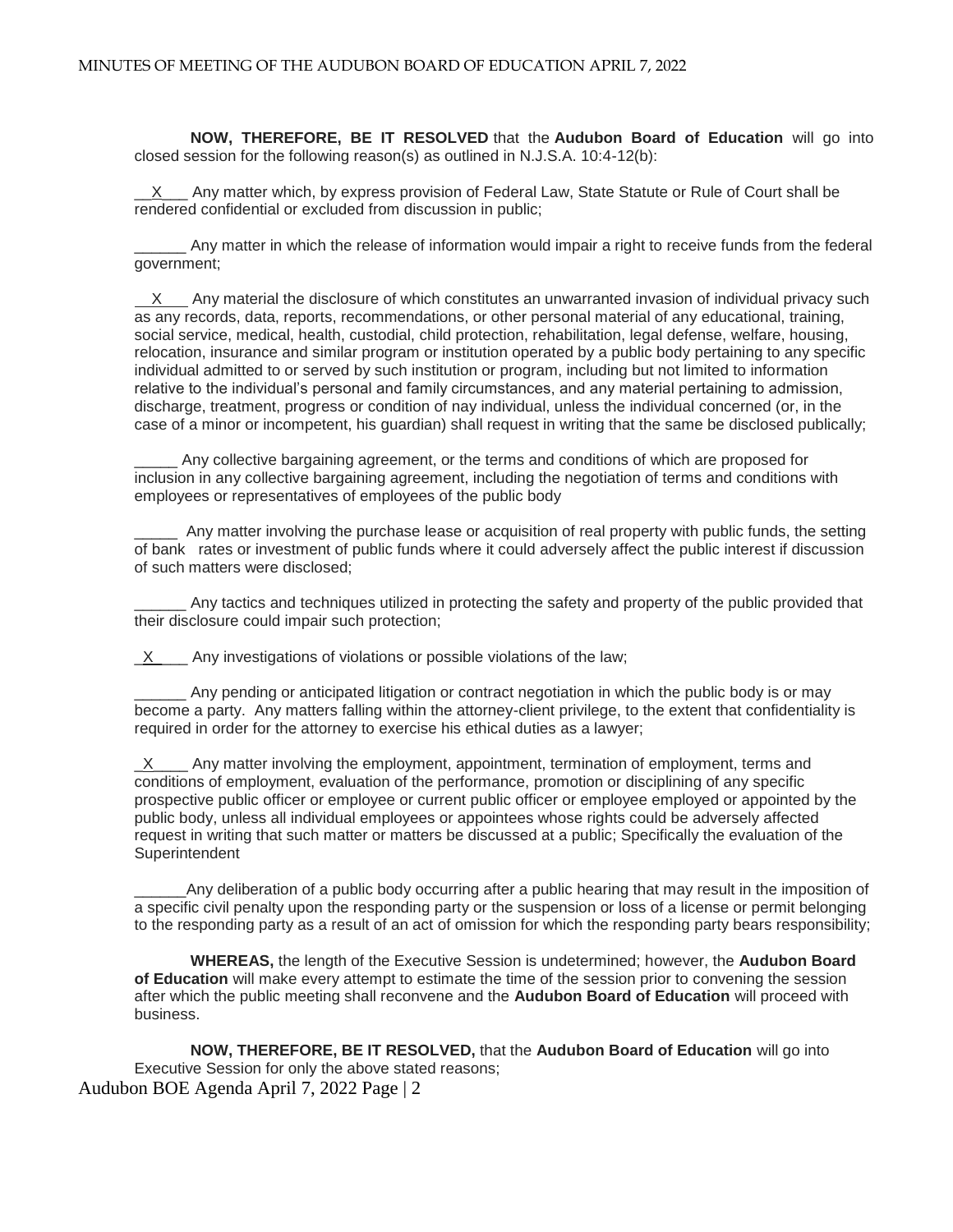**NOW, THEREFORE, BE IT RESOLVED** that the **Audubon Board of Education** will go into closed session for the following reason(s) as outlined in N.J.S.A. 10:4-12(b):

Any matter which, by express provision of Federal Law, State Statute or Rule of Court shall be rendered confidential or excluded from discussion in public;

\_\_\_\_\_\_ Any matter in which the release of information would impair a right to receive funds from the federal government;

 X Any material the disclosure of which constitutes an unwarranted invasion of individual privacy such as any records, data, reports, recommendations, or other personal material of any educational, training, social service, medical, health, custodial, child protection, rehabilitation, legal defense, welfare, housing, relocation, insurance and similar program or institution operated by a public body pertaining to any specific individual admitted to or served by such institution or program, including but not limited to information relative to the individual's personal and family circumstances, and any material pertaining to admission, discharge, treatment, progress or condition of nay individual, unless the individual concerned (or, in the case of a minor or incompetent, his guardian) shall request in writing that the same be disclosed publically;

\_\_\_\_\_ Any collective bargaining agreement, or the terms and conditions of which are proposed for inclusion in any collective bargaining agreement, including the negotiation of terms and conditions with employees or representatives of employees of the public body

Any matter involving the purchase lease or acquisition of real property with public funds, the setting of bank rates or investment of public funds where it could adversely affect the public interest if discussion of such matters were disclosed;

Any tactics and techniques utilized in protecting the safety and property of the public provided that their disclosure could impair such protection;

 $X$  Any investigations of violations or possible violations of the law;

Any pending or anticipated litigation or contract negotiation in which the public body is or may become a party. Any matters falling within the attorney-client privilege, to the extent that confidentiality is required in order for the attorney to exercise his ethical duties as a lawyer;

 $\underline{X}$  Any matter involving the employment, appointment, termination of employment, terms and conditions of employment, evaluation of the performance, promotion or disciplining of any specific prospective public officer or employee or current public officer or employee employed or appointed by the public body, unless all individual employees or appointees whose rights could be adversely affected request in writing that such matter or matters be discussed at a public; Specifically the evaluation of the Superintendent

Any deliberation of a public body occurring after a public hearing that may result in the imposition of a specific civil penalty upon the responding party or the suspension or loss of a license or permit belonging to the responding party as a result of an act of omission for which the responding party bears responsibility;

**WHEREAS,** the length of the Executive Session is undetermined; however, the **Audubon Board of Education** will make every attempt to estimate the time of the session prior to convening the session after which the public meeting shall reconvene and the **Audubon Board of Education** will proceed with business.

Audubon BOE Agenda April 7, 2022 Page | 2 **NOW, THEREFORE, BE IT RESOLVED,** that the **Audubon Board of Education** will go into Executive Session for only the above stated reasons;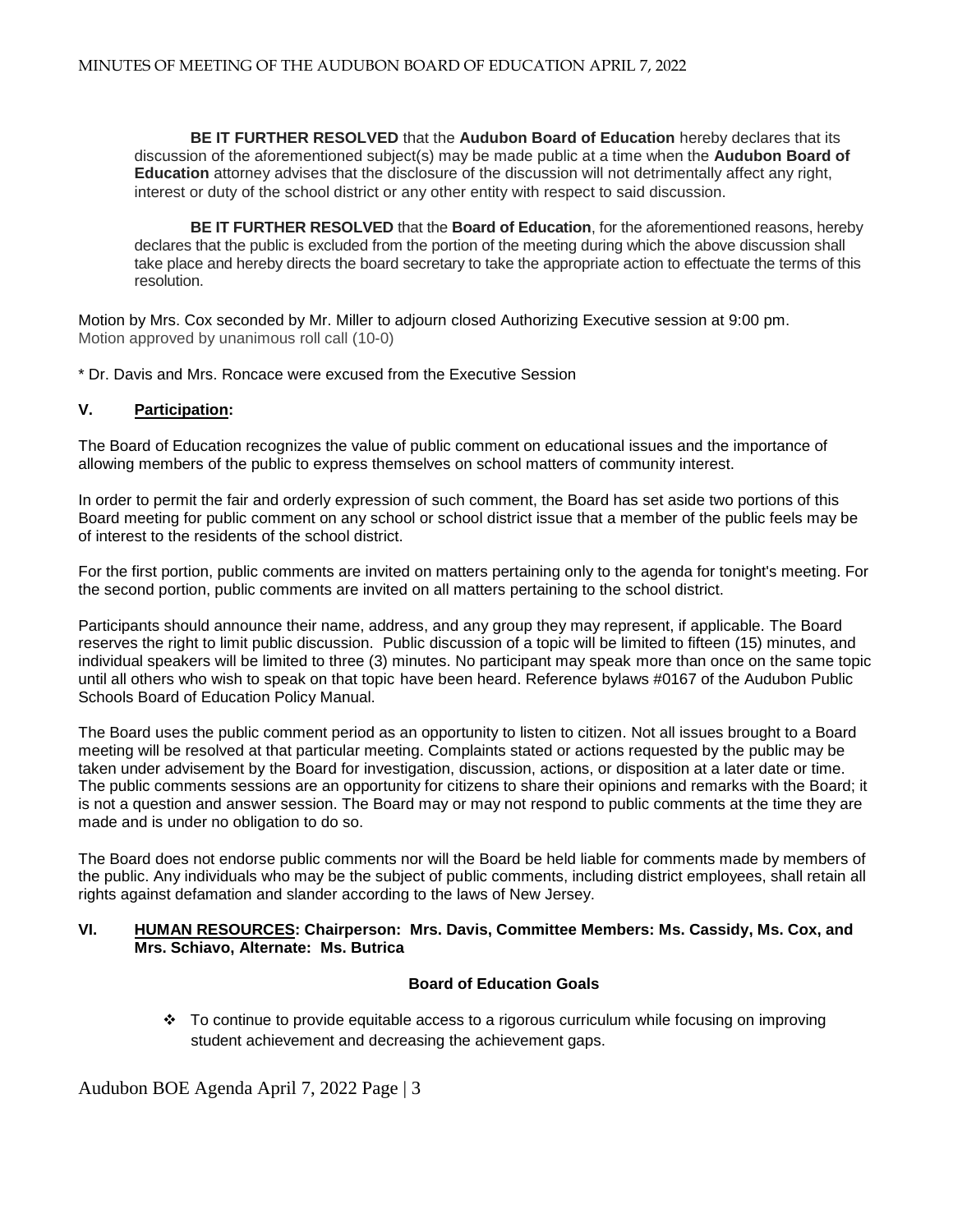**BE IT FURTHER RESOLVED** that the **Audubon Board of Education** hereby declares that its discussion of the aforementioned subject(s) may be made public at a time when the **Audubon Board of Education** attorney advises that the disclosure of the discussion will not detrimentally affect any right, interest or duty of the school district or any other entity with respect to said discussion.

**BE IT FURTHER RESOLVED** that the **Board of Education**, for the aforementioned reasons, hereby declares that the public is excluded from the portion of the meeting during which the above discussion shall take place and hereby directs the board secretary to take the appropriate action to effectuate the terms of this resolution.

Motion by Mrs. Cox seconded by Mr. Miller to adjourn closed Authorizing Executive session at 9:00 pm. Motion approved by unanimous roll call (10-0)

\* Dr. Davis and Mrs. Roncace were excused from the Executive Session

# **V. Participation:**

The Board of Education recognizes the value of public comment on educational issues and the importance of allowing members of the public to express themselves on school matters of community interest.

In order to permit the fair and orderly expression of such comment, the Board has set aside two portions of this Board meeting for public comment on any school or school district issue that a member of the public feels may be of interest to the residents of the school district.

For the first portion, public comments are invited on matters pertaining only to the agenda for tonight's meeting. For the second portion, public comments are invited on all matters pertaining to the school district.

Participants should announce their name, address, and any group they may represent, if applicable. The Board reserves the right to limit public discussion. Public discussion of a topic will be limited to fifteen (15) minutes, and individual speakers will be limited to three (3) minutes. No participant may speak more than once on the same topic until all others who wish to speak on that topic have been heard. Reference bylaws #0167 of the Audubon Public Schools Board of Education Policy Manual.

The Board uses the public comment period as an opportunity to listen to citizen. Not all issues brought to a Board meeting will be resolved at that particular meeting. Complaints stated or actions requested by the public may be taken under advisement by the Board for investigation, discussion, actions, or disposition at a later date or time. The public comments sessions are an opportunity for citizens to share their opinions and remarks with the Board; it is not a question and answer session. The Board may or may not respond to public comments at the time they are made and is under no obligation to do so.

The Board does not endorse public comments nor will the Board be held liable for comments made by members of the public. Any individuals who may be the subject of public comments, including district employees, shall retain all rights against defamation and slander according to the laws of New Jersey.

#### **VI. HUMAN RESOURCES: Chairperson: Mrs. Davis, Committee Members: Ms. Cassidy, Ms. Cox, and Mrs. Schiavo, Alternate: Ms. Butrica**

# **Board of Education Goals**

 To continue to provide equitable access to a rigorous curriculum while focusing on improving student achievement and decreasing the achievement gaps.

Audubon BOE Agenda April 7, 2022 Page | 3